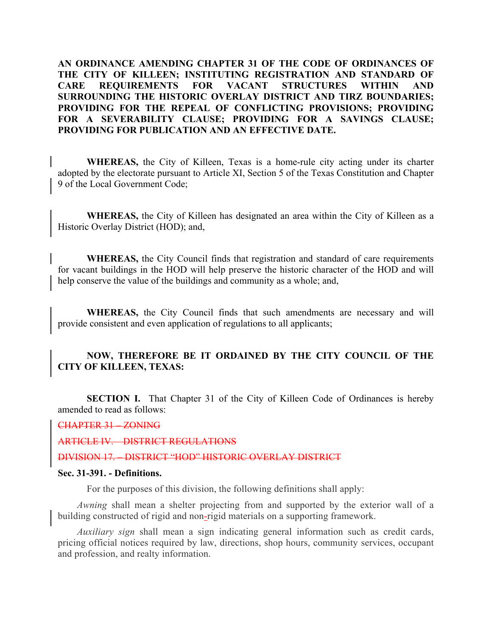**AN ORDINANCE AMENDING CHAPTER 31 OF THE CODE OF ORDINANCES OF THE CITY OF KILLEEN; INSTITUTING REGISTRATION AND STANDARD OF CARE REQUIREMENTS FOR VACANT STRUCTURES WITHIN AND SURROUNDING THE HISTORIC OVERLAY DISTRICT AND TIRZ BOUNDARIES; PROVIDING FOR THE REPEAL OF CONFLICTING PROVISIONS; PROVIDING FOR A SEVERABILITY CLAUSE; PROVIDING FOR A SAVINGS CLAUSE; PROVIDING FOR PUBLICATION AND AN EFFECTIVE DATE.** 

**WHEREAS,** the City of Killeen, Texas is a home-rule city acting under its charter adopted by the electorate pursuant to Article XI, Section 5 of the Texas Constitution and Chapter 9 of the Local Government Code;

**WHEREAS,** the City of Killeen has designated an area within the City of Killeen as a Historic Overlay District (HOD); and,

**WHEREAS,** the City Council finds that registration and standard of care requirements for vacant buildings in the HOD will help preserve the historic character of the HOD and will help conserve the value of the buildings and community as a whole; and,

**WHEREAS,** the City Council finds that such amendments are necessary and will provide consistent and even application of regulations to all applicants;

## **NOW, THEREFORE BE IT ORDAINED BY THE CITY COUNCIL OF THE CITY OF KILLEEN, TEXAS:**

**SECTION I.** That Chapter 31 of the City of Killeen Code of Ordinances is hereby amended to read as follows:

CHAPTER 31 – ZONING

ARTICLE IV. – DISTRICT REGULATIONS

DIVISION 17. – DISTRICT "HOD" HISTORIC OVERLAY DISTRICT

### **Sec. 31-391. - Definitions.**

For the purposes of this division, the following definitions shall apply:

*Awning* shall mean a shelter projecting from and supported by the exterior wall of a building constructed of rigid and non-rigid materials on a supporting framework.

*Auxiliary sign* shall mean a sign indicating general information such as credit cards, pricing official notices required by law, directions, shop hours, community services, occupant and profession, and realty information.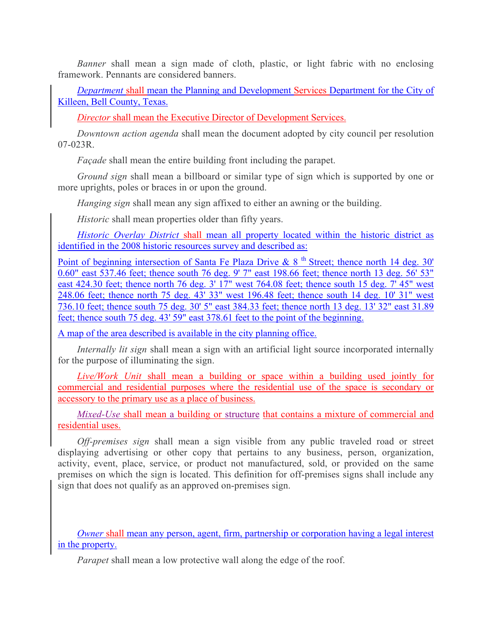*Banner* shall mean a sign made of cloth, plastic, or light fabric with no enclosing framework. Pennants are considered banners.

*Department* shall mean the Planning and Development Services Department for the City of Killeen, Bell County, Texas.

*Director* shall mean the Executive Director of Development Services.

*Downtown action agenda* shall mean the document adopted by city council per resolution 07-023R.

*Façade* shall mean the entire building front including the parapet.

*Ground sign* shall mean a billboard or similar type of sign which is supported by one or more uprights, poles or braces in or upon the ground.

*Hanging sign* shall mean any sign affixed to either an awning or the building.

*Historic* shall mean properties older than fifty years.

*Historic Overlay District* shall mean all property located within the historic district as identified in the 2008 historic resources survey and described as:

Point of beginning intersection of Santa Fe Plaza Drive &  $8<sup>th</sup>$  Street; thence north 14 deg. 30' 0.60" east 537.46 feet; thence south 76 deg. 9' 7" east 198.66 feet; thence north 13 deg. 56' 53" east 424.30 feet; thence north 76 deg. 3' 17" west 764.08 feet; thence south 15 deg. 7' 45" west 248.06 feet; thence north 75 deg. 43' 33" west 196.48 feet; thence south 14 deg. 10' 31" west 736.10 feet; thence south 75 deg. 30' 5" east 384.33 feet; thence north 13 deg. 13' 32" east 31.89 feet; thence south 75 deg. 43' 59" east 378.61 feet to the point of the beginning.

A map of the area described is available in the city planning office.

*Internally lit sign* shall mean a sign with an artificial light source incorporated internally for the purpose of illuminating the sign.

*Live/Work Unit* shall mean a building or space within a building used jointly for commercial and residential purposes where the residential use of the space is secondary or accessory to the primary use as a place of business.

*Mixed-Use* shall mean a building or structure that contains a mixture of commercial and residential uses.

*Off-premises sign* shall mean a sign visible from any public traveled road or street displaying advertising or other copy that pertains to any business, person, organization, activity, event, place, service, or product not manufactured, sold, or provided on the same premises on which the sign is located. This definition for off-premises signs shall include any sign that does not qualify as an approved on-premises sign.

*Owner* shall mean any person, agent, firm, partnership or corporation having a legal interest in the property.

*Parapet* shall mean a low protective wall along the edge of the roof.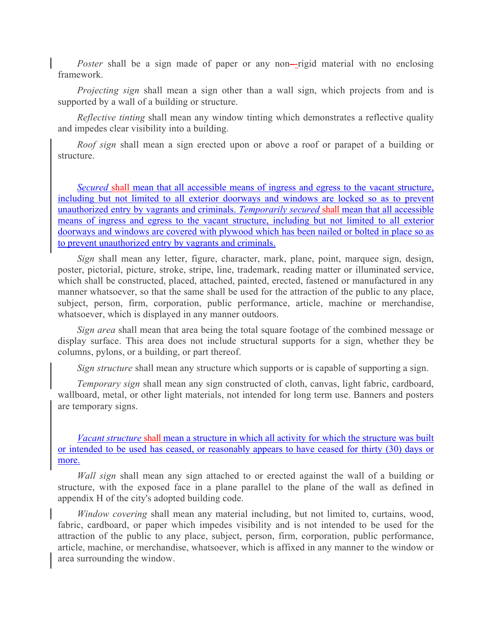*Poster* shall be a sign made of paper or any non-rigid material with no enclosing framework.

*Projecting sign* shall mean a sign other than a wall sign, which projects from and is supported by a wall of a building or structure.

*Reflective tinting* shall mean any window tinting which demonstrates a reflective quality and impedes clear visibility into a building.

*Roof sign* shall mean a sign erected upon or above a roof or parapet of a building or structure.

*Secured* shall mean that all accessible means of ingress and egress to the vacant structure, including but not limited to all exterior doorways and windows are locked so as to prevent unauthorized entry by vagrants and criminals. *Temporarily secured* shall mean that all accessible means of ingress and egress to the vacant structure, including but not limited to all exterior doorways and windows are covered with plywood which has been nailed or bolted in place so as to prevent unauthorized entry by vagrants and criminals.

*Sign* shall mean any letter, figure, character, mark, plane, point, marquee sign, design, poster, pictorial, picture, stroke, stripe, line, trademark, reading matter or illuminated service, which shall be constructed, placed, attached, painted, erected, fastened or manufactured in any manner whatsoever, so that the same shall be used for the attraction of the public to any place, subject, person, firm, corporation, public performance, article, machine or merchandise, whatsoever, which is displayed in any manner outdoors.

*Sign area* shall mean that area being the total square footage of the combined message or display surface. This area does not include structural supports for a sign, whether they be columns, pylons, or a building, or part thereof.

*Sign structure* shall mean any structure which supports or is capable of supporting a sign.

*Temporary sign* shall mean any sign constructed of cloth, canvas, light fabric, cardboard, wallboard, metal, or other light materials, not intended for long term use. Banners and posters are temporary signs.

*Vacant structure* shall mean a structure in which all activity for which the structure was built or intended to be used has ceased, or reasonably appears to have ceased for thirty (30) days or more.

*Wall sign* shall mean any sign attached to or erected against the wall of a building or structure, with the exposed face in a plane parallel to the plane of the wall as defined in appendix H of the city's adopted building code.

*Window covering* shall mean any material including, but not limited to, curtains, wood, fabric, cardboard, or paper which impedes visibility and is not intended to be used for the attraction of the public to any place, subject, person, firm, corporation, public performance, article, machine, or merchandise, whatsoever, which is affixed in any manner to the window or area surrounding the window.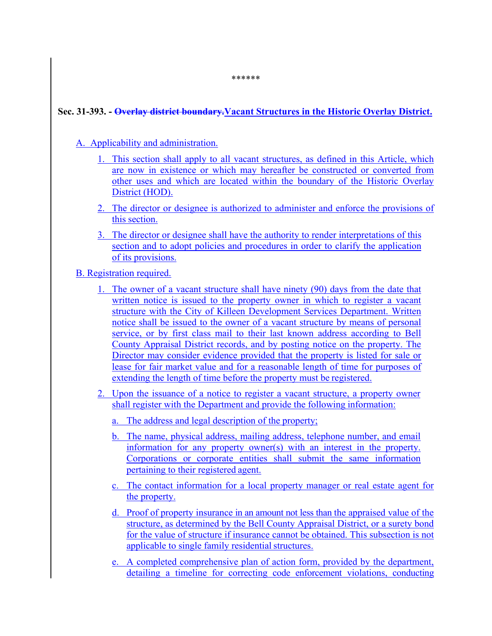## **Sec. 31-393. - Overlay district boundary.Vacant Structures in the Historic Overlay District.**

## A. Applicability and administration.

- 1. This section shall apply to all vacant structures, as defined in this Article, which are now in existence or which may hereafter be constructed or converted from other uses and which are located within the boundary of the Historic Overlay District (HOD).
- 2. The director or designee is authorized to administer and enforce the provisions of this section.
- 3. The director or designee shall have the authority to render interpretations of this section and to adopt policies and procedures in order to clarify the application of its provisions.
- B. Registration required.
	- 1. The owner of a vacant structure shall have ninety (90) days from the date that written notice is issued to the property owner in which to register a vacant structure with the City of Killeen Development Services Department. Written notice shall be issued to the owner of a vacant structure by means of personal service, or by first class mail to their last known address according to Bell County Appraisal District records, and by posting notice on the property. The Director may consider evidence provided that the property is listed for sale or lease for fair market value and for a reasonable length of time for purposes of extending the length of time before the property must be registered.
	- 2. Upon the issuance of a notice to register a vacant structure, a property owner shall register with the Department and provide the following information:
		- a. The address and legal description of the property;
		- b. The name, physical address, mailing address, telephone number, and email information for any property owner(s) with an interest in the property. Corporations or corporate entities shall submit the same information pertaining to their registered agent.
		- c. The contact information for a local property manager or real estate agent for the property.
		- d. Proof of property insurance in an amount not less than the appraised value of the structure, as determined by the Bell County Appraisal District, or a surety bond for the value of structure if insurance cannot be obtained. This subsection is not applicable to single family residential structures.
		- e. A completed comprehensive plan of action form, provided by the department, detailing a timeline for correcting code enforcement violations, conducting

\*\*\*\*\*\*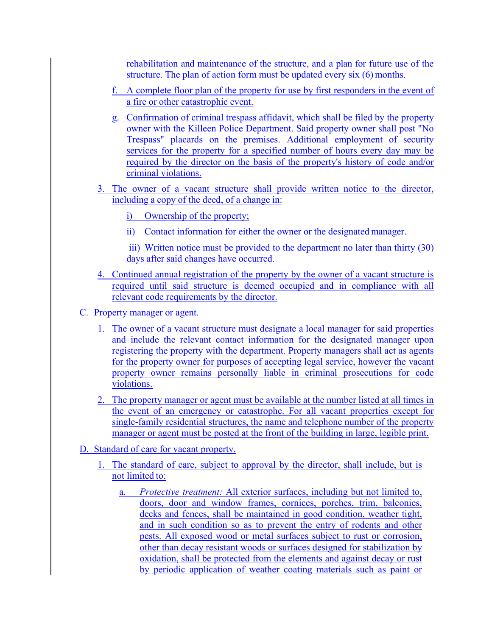rehabilitation and maintenance of the structure, and a plan for future use of the structure. The plan of action form must be updated every six (6) months.

- f. A complete floor plan of the property for use by first responders in the event of a fire or other catastrophic event.
- g. Confirmation of criminal trespass affidavit, which shall be filed by the property owner with the Killeen Police Department. Said property owner shall post "No Trespass" placards on the premises. Additional employment of security services for the property for a specified number of hours every day may be required by the director on the basis of the property's history of code and/or criminal violations.
- 3. The owner of a vacant structure shall provide written notice to the director, including a copy of the deed, of a change in:
	- i) Ownership of the property;
	- ii) Contact information for either the owner or the designated manager.

 iii) Written notice must be provided to the department no later than thirty (30) days after said changes have occurred.

- 4. Continued annual registration of the property by the owner of a vacant structure is required until said structure is deemed occupied and in compliance with all relevant code requirements by the director.
- C. Property manager or agent.
	- 1. The owner of a vacant structure must designate a local manager for said properties and include the relevant contact information for the designated manager upon registering the property with the department. Property managers shall act as agents for the property owner for purposes of accepting legal service, however the vacant property owner remains personally liable in criminal prosecutions for code violations.
	- 2. The property manager or agent must be available at the number listed at all times in the event of an emergency or catastrophe. For all vacant properties except for single-family residential structures, the name and telephone number of the property manager or agent must be posted at the front of the building in large, legible print.
- D. Standard of care for vacant property.
	- The standard of care, subject to approval by the director, shall include, but is not limited to:
		- a. *Protective treatment:* All exterior surfaces, including but not limited to, doors, door and window frames, cornices, porches, trim, balconies, decks and fences, shall be maintained in good condition, weather tight, and in such condition so as to prevent the entry of rodents and other pests. All exposed wood or metal surfaces subject to rust or corrosion, other than decay resistant woods or surfaces designed for stabilization by oxidation, shall be protected from the elements and against decay or rust by periodic application of weather coating materials such as paint or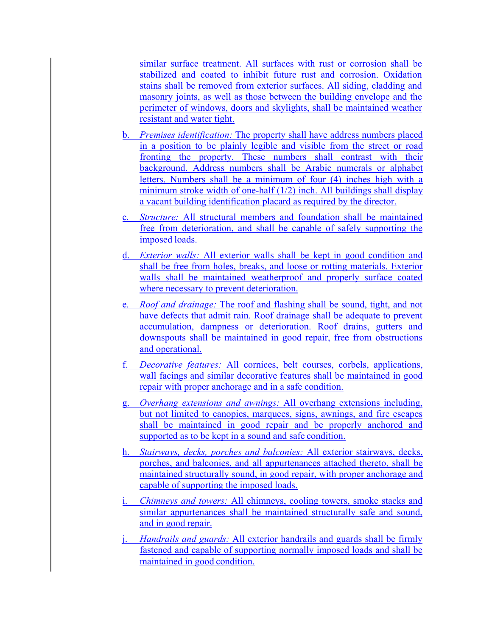similar surface treatment. All surfaces with rust or corrosion shall be stabilized and coated to inhibit future rust and corrosion. Oxidation stains shall be removed from exterior surfaces. All siding, cladding and masonry joints, as well as those between the building envelope and the perimeter of windows, doors and skylights, shall be maintained weather resistant and water tight.

- b. *Premises identification:* The property shall have address numbers placed in a position to be plainly legible and visible from the street or road fronting the property. These numbers shall contrast with their background. Address numbers shall be Arabic numerals or alphabet letters. Numbers shall be a minimum of four (4) inches high with a minimum stroke width of one-half (1/2) inch. All buildings shall display a vacant building identification placard as required by the director.
- c. *Structure:* All structural members and foundation shall be maintained free from deterioration, and shall be capable of safely supporting the imposed loads.
- d. *Exterior walls:* All exterior walls shall be kept in good condition and shall be free from holes, breaks, and loose or rotting materials. Exterior walls shall be maintained weatherproof and properly surface coated where necessary to prevent deterioration.
- e. *Roof and drainage:* The roof and flashing shall be sound, tight, and not have defects that admit rain. Roof drainage shall be adequate to prevent accumulation, dampness or deterioration. Roof drains, gutters and downspouts shall be maintained in good repair, free from obstructions and operational.
- f. *Decorative features:* All cornices, belt courses, corbels, applications, wall facings and similar decorative features shall be maintained in good repair with proper anchorage and in a safe condition.
- g. *Overhang extensions and awnings:* All overhang extensions including, but not limited to canopies, marquees, signs, awnings, and fire escapes shall be maintained in good repair and be properly anchored and supported as to be kept in a sound and safe condition.
- h. *Stairways, decks, porches and balconies:* All exterior stairways, decks, porches, and balconies, and all appurtenances attached thereto, shall be maintained structurally sound, in good repair, with proper anchorage and capable of supporting the imposed loads.
- i. *Chimneys and towers:* All chimneys, cooling towers, smoke stacks and similar appurtenances shall be maintained structurally safe and sound, and in good repair.
- j. *Handrails and guards:* All exterior handrails and guards shall be firmly fastened and capable of supporting normally imposed loads and shall be maintained in good condition.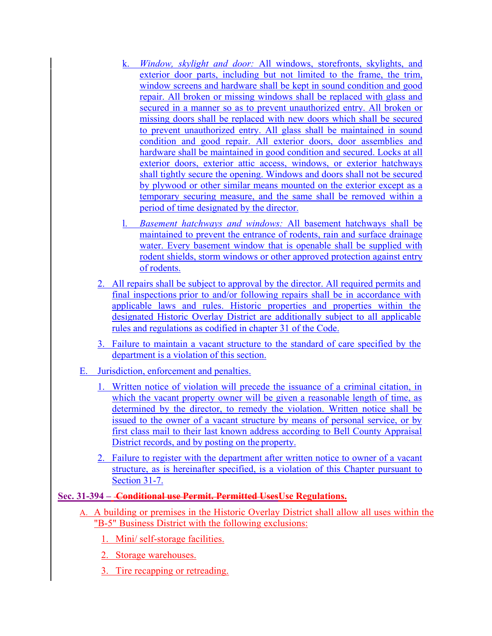- k. *Window, skylight and door:* All windows, storefronts, skylights, and exterior door parts, including but not limited to the frame, the trim, window screens and hardware shall be kept in sound condition and good repair. All broken or missing windows shall be replaced with glass and secured in a manner so as to prevent unauthorized entry. All broken or missing doors shall be replaced with new doors which shall be secured to prevent unauthorized entry. All glass shall be maintained in sound condition and good repair. All exterior doors, door assemblies and hardware shall be maintained in good condition and secured. Locks at all exterior doors, exterior attic access, windows, or exterior hatchways shall tightly secure the opening. Windows and doors shall not be secured by plywood or other similar means mounted on the exterior except as a temporary securing measure, and the same shall be removed within a period of time designated by the director.
- l. *Basement hatchways and windows:* All basement hatchways shall be maintained to prevent the entrance of rodents, rain and surface drainage water. Every basement window that is openable shall be supplied with rodent shields, storm windows or other approved protection against entry of rodents.
- 2. All repairs shall be subject to approval by the director. All required permits and final inspections prior to and/or following repairs shall be in accordance with applicable laws and rules. Historic properties and properties within the designated Historic Overlay District are additionally subject to all applicable rules and regulations as codified in chapter 31 of the Code.
- 3. Failure to maintain a vacant structure to the standard of care specified by the department is a violation of this section.
- E. Jurisdiction, enforcement and penalties.
	- 1. Written notice of violation will precede the issuance of a criminal citation, in which the vacant property owner will be given a reasonable length of time, as determined by the director, to remedy the violation. Written notice shall be issued to the owner of a vacant structure by means of personal service, or by first class mail to their last known address according to Bell County Appraisal District records, and by posting on the property.
	- 2. Failure to register with the department after written notice to owner of a vacant structure, as is hereinafter specified, is a violation of this Chapter pursuant to Section 31-7.

# **Sec. 31-394 – Conditional use Permit. Permitted UsesUse Regulations.**

- A. A building or premises in the Historic Overlay District shall allow all uses within the "B-5" Business District with the following exclusions:
	- 1. Mini/ self-storage facilities.
	- 2. Storage warehouses.
	- 3. Tire recapping or retreading.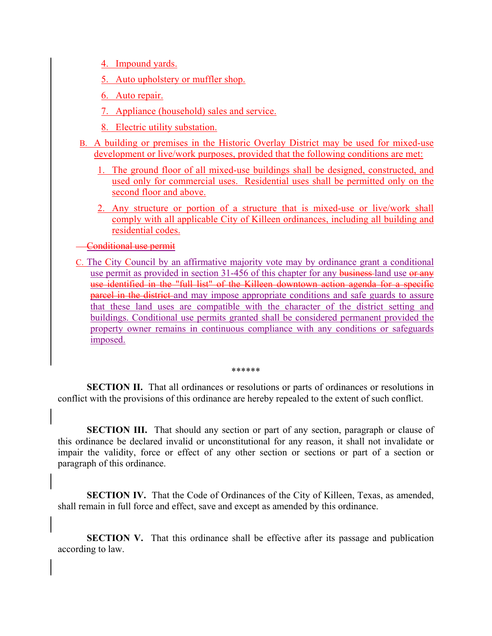- 4. Impound yards.
- 5. Auto upholstery or muffler shop.
- 6. Auto repair.
- 7. Appliance (household) sales and service.
- 8. Electric utility substation.
- B. A building or premises in the Historic Overlay District may be used for mixed-use development or live/work purposes, provided that the following conditions are met:
	- 1. The ground floor of all mixed-use buildings shall be designed, constructed, and used only for commercial uses. Residential uses shall be permitted only on the second floor and above.
	- 2. Any structure or portion of a structure that is mixed-use or live/work shall comply with all applicable City of Killeen ordinances, including all building and residential codes.
- Conditional use permit
- C. The City Council by an affirmative majority vote may by ordinance grant a conditional use permit as provided in section 31-456 of this chapter for any business-land use or any use identified in the "full list" of the Killeen downtown action agenda for a specific parcel in the district and may impose appropriate conditions and safe guards to assure that these land uses are compatible with the character of the district setting and buildings. Conditional use permits granted shall be considered permanent provided the property owner remains in continuous compliance with any conditions or safeguards imposed.

#### \*\*\*\*\*\*

**SECTION II.** That all ordinances or resolutions or parts of ordinances or resolutions in conflict with the provisions of this ordinance are hereby repealed to the extent of such conflict.

**SECTION III.** That should any section or part of any section, paragraph or clause of this ordinance be declared invalid or unconstitutional for any reason, it shall not invalidate or impair the validity, force or effect of any other section or sections or part of a section or paragraph of this ordinance.

**SECTION IV.** That the Code of Ordinances of the City of Killeen, Texas, as amended, shall remain in full force and effect, save and except as amended by this ordinance.

**SECTION V.** That this ordinance shall be effective after its passage and publication according to law.